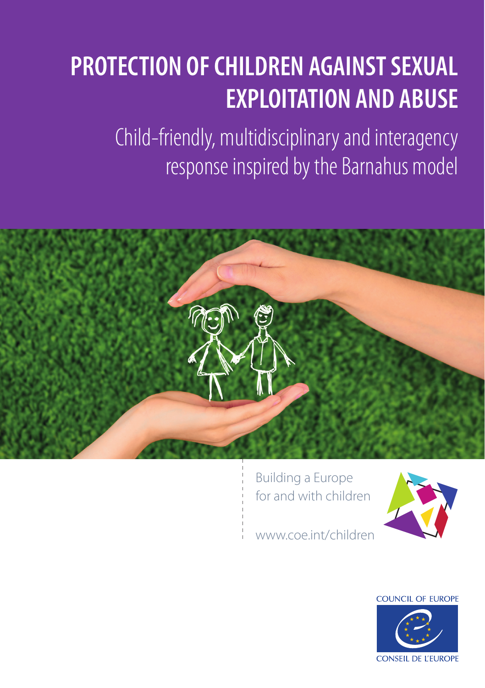# **PROTECTION OF CHILDREN AGAINST SEXUAL EXPLOITATION AND ABUSE**

Child-friendly, multidisciplinary and interagency response inspired by the Barnahus model



Building a Europe for and with children



www.coe.int/children

COUNCIL OF EUROPE

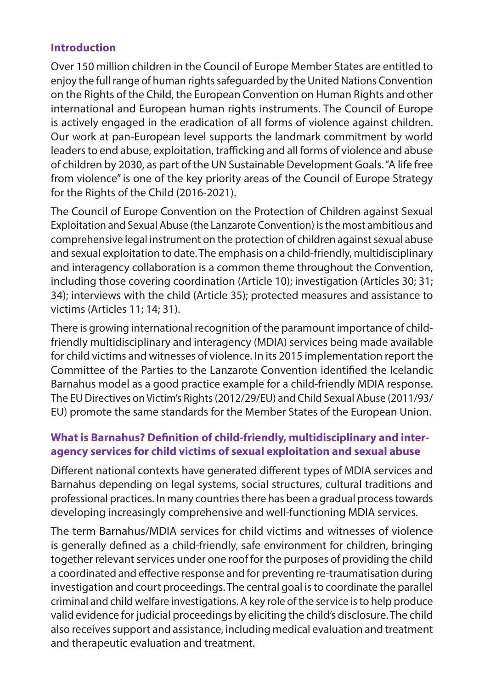## **Introduction**

Over 150 million children in the Council of Europe Member States are entitled to enjoy the full range of human rights safeguarded by the United Nations Convention on the Rights of the Child, the European Convention on Human Rights and other international and European human rights instruments. The Council of Europe is actively engaged in the eradication of all forms of violence against children. Our work at pan-European level supports the landmark commitment by world leaders to end abuse, exploitation, trafficking and all forms of violence and abuse of children by 2030, as part of the UN Sustainable Development Goals. "A life free from violence" is one of the key priority areas of the Council of Europe Strategy for the Rights of the Child (2016-2021).

The Council of Europe Convention on the Protection of Children against Sexual Exploitation and Sexual Abuse (the Lanzarote Convention) is the most ambitious and comprehensive legal instrument on the protection of children against sexual abuse and sexual exploitation to date. The emphasis on a child-friendly, multidisciplinary and interagency collaboration is a common theme throughout the Convention, including those covering coordination (Article 10); investigation (Articles 30; 31; 34); interviews with the child (Article 35); protected measures and assistance to victims (Articles 11; 14; 31).

There is growing international recognition of the paramount importance of childfriendly multidisciplinary and interagency (MDIA) services being made available for child victims and witnesses of violence. In its 2015 implementation report the Committee of the Parties to the Lanzarote Convention identified the Icelandic Barnahus model as a good practice example for a child-friendly MDIA response. The EU Directives on Victim's Rights (2012/29/EU) and Child Sexual Abuse (2011/93/ EU) promote the same standards for the Member States of the European Union.

# **What is Barnahus? Definition of child-friendly, multidisciplinary and interagency services for child victims of sexual exploitation and sexual abuse**

Different national contexts have generated different types of MDIA services and Barnahus depending on legal systems, social structures, cultural traditions and professional practices. In many countries there has been a gradual process towards developing increasingly comprehensive and well-functioning MDIA services.

The term Barnahus/MDIA services for child victims and witnesses of violence is generally defined as a child-friendly, safe environment for children, bringing together relevant services under one roof for the purposes of providing the child a coordinated and effective response and for preventing re-traumatisation during investigation and court proceedings. The central goal is to coordinate the parallel criminal and child welfare investigations. A key role of the service is to help produce valid evidence for judicial proceedings by eliciting the child's disclosure. The child also receives support and assistance, including medical evaluation and treatment and therapeutic evaluation and treatment.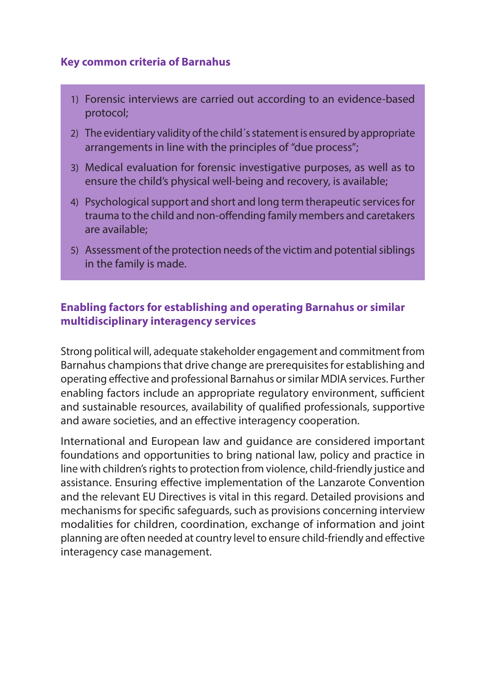#### **Key common criteria of Barnahus**

- 1) Forensic interviews are carried out according to an evidence-based protocol;
- 2) The evidentiary validity of the child´s statement is ensured by appropriate arrangements in line with the principles of "due process";
- 3) Medical evaluation for forensic investigative purposes, as well as to ensure the child's physical well-being and recovery, is available;
- 4) Psychological support and short and long term therapeutic services for trauma to the child and non-offending family members and caretakers are available;
- 5) Assessment of the protection needs of the victim and potential siblings in the family is made.

### **Enabling factors for establishing and operating Barnahus or similar multidisciplinary interagency services**

Strong political will, adequate stakeholder engagement and commitment from Barnahus champions that drive change are prerequisites for establishing and operating effective and professional Barnahus or similar MDIA services. Further enabling factors include an appropriate regulatory environment, sufficient and sustainable resources, availability of qualified professionals, supportive and aware societies, and an effective interagency cooperation.

International and European law and guidance are considered important foundations and opportunities to bring national law, policy and practice in line with children's rights to protection from violence, child-friendly justice and assistance. Ensuring effective implementation of the Lanzarote Convention and the relevant EU Directives is vital in this regard. Detailed provisions and mechanisms for specific safeguards, such as provisions concerning interview modalities for children, coordination, exchange of information and joint planning are often needed at country level to ensure child-friendly and effective interagency case management.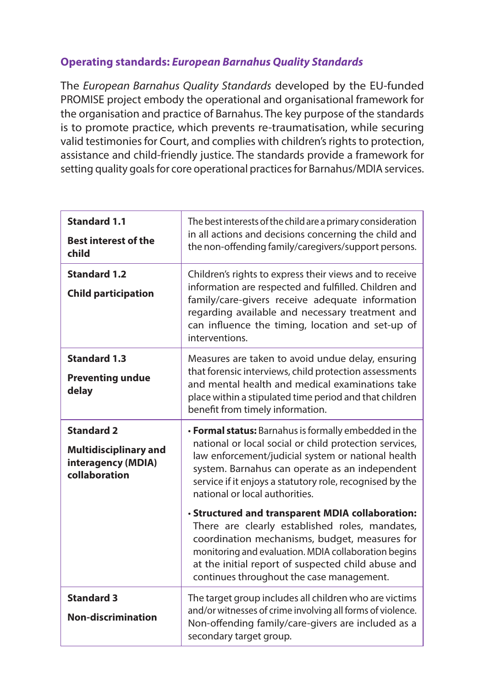## **Operating standards:** *European Barnahus Quality Standards*

The *European Barnahus Quality Standards* developed by the EU-funded PROMISE project embody the operational and organisational framework for the organisation and practice of Barnahus. The key purpose of the standards is to promote practice, which prevents re-traumatisation, while securing valid testimonies for Court, and complies with children's rights to protection, assistance and child-friendly justice. The standards provide a framework for setting quality goals for core operational practices for Barnahus/MDIA services.

| <b>Standard 1.1</b><br><b>Best interest of the</b><br>child                              | The best interests of the child are a primary consideration<br>in all actions and decisions concerning the child and<br>the non-offending family/caregivers/support persons.                                                                                                                                          |
|------------------------------------------------------------------------------------------|-----------------------------------------------------------------------------------------------------------------------------------------------------------------------------------------------------------------------------------------------------------------------------------------------------------------------|
| <b>Standard 1.2</b><br><b>Child participation</b>                                        | Children's rights to express their views and to receive<br>information are respected and fulfilled. Children and<br>family/care-givers receive adequate information<br>regarding available and necessary treatment and<br>can influence the timing, location and set-up of<br>interventions.                          |
| <b>Standard 1.3</b><br><b>Preventing undue</b><br>delay                                  | Measures are taken to avoid undue delay, ensuring<br>that forensic interviews, child protection assessments<br>and mental health and medical examinations take<br>place within a stipulated time period and that children<br>benefit from timely information.                                                         |
| <b>Standard 2</b><br><b>Multidisciplinary and</b><br>interagency (MDIA)<br>collaboration | • Formal status: Barnahus is formally embedded in the<br>national or local social or child protection services,<br>law enforcement/judicial system or national health<br>system. Barnahus can operate as an independent<br>service if it enjoys a statutory role, recognised by the<br>national or local authorities. |
|                                                                                          | · Structured and transparent MDIA collaboration:<br>There are clearly established roles, mandates,<br>coordination mechanisms, budget, measures for<br>monitoring and evaluation. MDIA collaboration begins<br>at the initial report of suspected child abuse and<br>continues throughout the case management.        |
| <b>Standard 3</b><br>Non-discrimination                                                  | The target group includes all children who are victims<br>and/or witnesses of crime involving all forms of violence.<br>Non-offending family/care-givers are included as a<br>secondary target group.                                                                                                                 |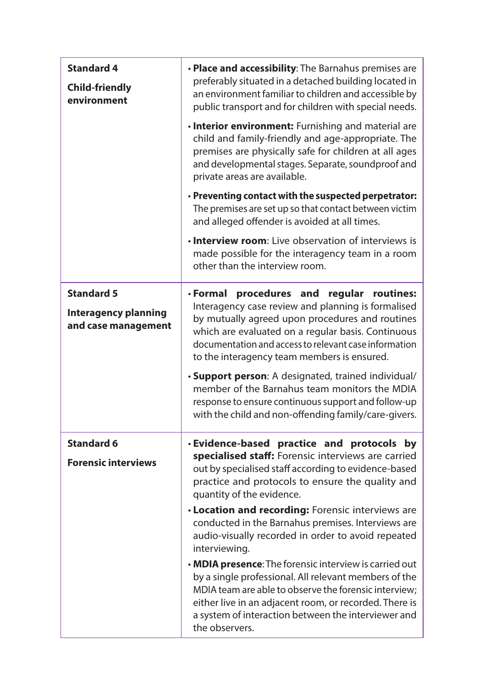| <b>Standard 4</b><br><b>Child-friendly</b><br>environment               | . Place and accessibility: The Barnahus premises are<br>preferably situated in a detached building located in<br>an environment familiar to children and accessible by<br>public transport and for children with special needs.<br>. Interior environment: Furnishing and material are<br>child and family-friendly and age-appropriate. The<br>premises are physically safe for children at all ages<br>and developmental stages. Separate, soundproof and<br>private areas are available.<br>· Preventing contact with the suspected perpetrator:<br>The premises are set up so that contact between victim<br>and alleged offender is avoided at all times.<br>. Interview room: Live observation of interviews is                      |
|-------------------------------------------------------------------------|--------------------------------------------------------------------------------------------------------------------------------------------------------------------------------------------------------------------------------------------------------------------------------------------------------------------------------------------------------------------------------------------------------------------------------------------------------------------------------------------------------------------------------------------------------------------------------------------------------------------------------------------------------------------------------------------------------------------------------------------|
| <b>Standard 5</b><br><b>Interagency planning</b><br>and case management | made possible for the interagency team in a room<br>other than the interview room.<br>• Formal<br>procedures and regular routines:<br>Interagency case review and planning is formalised<br>by mutually agreed upon procedures and routines<br>which are evaluated on a regular basis. Continuous<br>documentation and access to relevant case information<br>to the interagency team members is ensured.<br><b>Support person</b> : A designated, trained individual/<br>member of the Barnahus team monitors the MDIA<br>response to ensure continuous support and follow-up<br>with the child and non-offending family/care-givers.                                                                                                     |
| <b>Standard 6</b><br><b>Forensic interviews</b>                         | · Evidence-based practice and protocols by<br>specialised staff: Forensic interviews are carried<br>out by specialised staff according to evidence-based<br>practice and protocols to ensure the quality and<br>quantity of the evidence.<br>. Location and recording: Forensic interviews are<br>conducted in the Barnahus premises. Interviews are<br>audio-visually recorded in order to avoid repeated<br>interviewing.<br>. MDIA presence: The forensic interview is carried out<br>by a single professional. All relevant members of the<br>MDIA team are able to observe the forensic interview;<br>either live in an adjacent room, or recorded. There is<br>a system of interaction between the interviewer and<br>the observers. |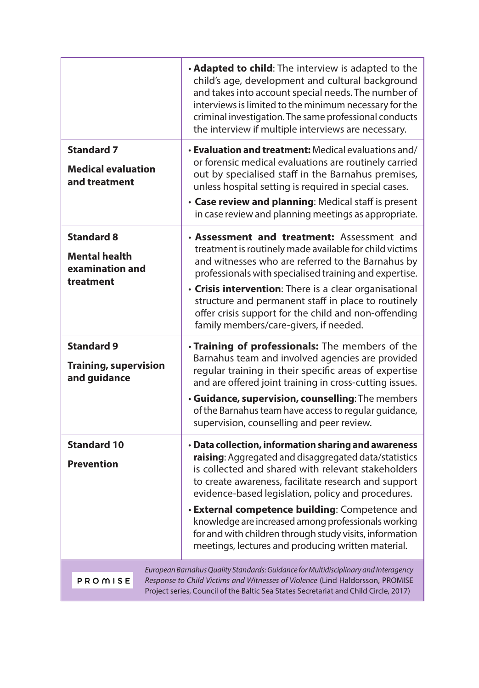|                                                                                                                                                                                                                                                                         | . Adapted to child: The interview is adapted to the<br>child's age, development and cultural background<br>and takes into account special needs. The number of<br>interviews is limited to the minimum necessary for the<br>criminal investigation. The same professional conducts<br>the interview if multiple interviews are necessary.                                                                                                                                                                   |
|-------------------------------------------------------------------------------------------------------------------------------------------------------------------------------------------------------------------------------------------------------------------------|-------------------------------------------------------------------------------------------------------------------------------------------------------------------------------------------------------------------------------------------------------------------------------------------------------------------------------------------------------------------------------------------------------------------------------------------------------------------------------------------------------------|
| <b>Standard 7</b><br><b>Medical evaluation</b><br>and treatment                                                                                                                                                                                                         | <b>Evaluation and treatment:</b> Medical evaluations and/<br>or forensic medical evaluations are routinely carried<br>out by specialised staff in the Barnahus premises,<br>unless hospital setting is required in special cases.<br>• Case review and planning: Medical staff is present<br>in case review and planning meetings as appropriate.                                                                                                                                                           |
| <b>Standard 8</b><br><b>Mental health</b><br>examination and<br>treatment                                                                                                                                                                                               | • Assessment and treatment: Assessment and<br>treatment is routinely made available for child victims<br>and witnesses who are referred to the Barnahus by<br>professionals with specialised training and expertise.<br>• Crisis intervention: There is a clear organisational<br>structure and permanent staff in place to routinely<br>offer crisis support for the child and non-offending<br>family members/care-givers, if needed.                                                                     |
| <b>Standard 9</b><br><b>Training, supervision</b><br>and guidance                                                                                                                                                                                                       | . Training of professionals: The members of the<br>Barnahus team and involved agencies are provided<br>regular training in their specific areas of expertise<br>and are offered joint training in cross-cutting issues.<br>· Guidance, supervision, counselling: The members<br>of the Barnahus team have access to regular guidance,<br>supervision, counselling and peer review.                                                                                                                          |
| <b>Standard 10</b><br><b>Prevention</b>                                                                                                                                                                                                                                 | · Data collection, information sharing and awareness<br>raising: Aggregated and disaggregated data/statistics<br>is collected and shared with relevant stakeholders<br>to create awareness, facilitate research and support<br>evidence-based legislation, policy and procedures.<br>· External competence building: Competence and<br>knowledge are increased among professionals working<br>for and with children through study visits, information<br>meetings, lectures and producing written material. |
| European Barnahus Quality Standards: Guidance for Multidisciplinary and Interagency<br>PROMISE<br>Response to Child Victims and Witnesses of Violence (Lind Haldorsson, PROMISE<br>Project series, Council of the Baltic Sea States Secretariat and Child Circle, 2017) |                                                                                                                                                                                                                                                                                                                                                                                                                                                                                                             |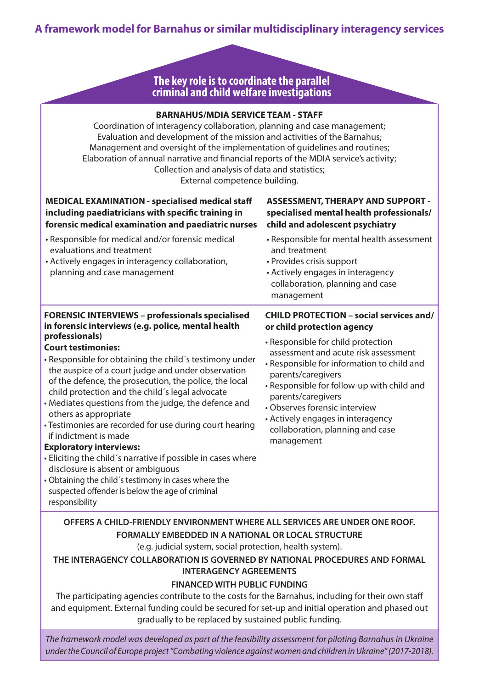## **A framework model for Barnahus or similar multidisciplinary interagency services**

#### **The key role is to coordinate the parallel criminal and child welfare investigations**

| <b>BARNAHUS/MDIA SERVICE TEAM - STAFF</b><br>Coordination of interagency collaboration, planning and case management;<br>Evaluation and development of the mission and activities of the Barnahus;<br>Management and oversight of the implementation of guidelines and routines;<br>Elaboration of annual narrative and financial reports of the MDIA service's activity;<br>Collection and analysis of data and statistics;<br>External competence building.                                                                                                                                                                                                                                                      |                                                                                                                                                                                                                                                                                                                                            |  |  |
|--------------------------------------------------------------------------------------------------------------------------------------------------------------------------------------------------------------------------------------------------------------------------------------------------------------------------------------------------------------------------------------------------------------------------------------------------------------------------------------------------------------------------------------------------------------------------------------------------------------------------------------------------------------------------------------------------------------------|--------------------------------------------------------------------------------------------------------------------------------------------------------------------------------------------------------------------------------------------------------------------------------------------------------------------------------------------|--|--|
| <b>MEDICAL EXAMINATION - specialised medical staff</b><br>including paediatricians with specific training in<br>forensic medical examination and paediatric nurses                                                                                                                                                                                                                                                                                                                                                                                                                                                                                                                                                 | <b>ASSESSMENT, THERAPY AND SUPPORT -</b><br>specialised mental health professionals/<br>child and adolescent psychiatry                                                                                                                                                                                                                    |  |  |
| · Responsible for medical and/or forensic medical<br>evaluations and treatment<br>· Actively engages in interagency collaboration,<br>planning and case management                                                                                                                                                                                                                                                                                                                                                                                                                                                                                                                                                 | • Responsible for mental health assessment<br>and treatment<br>• Provides crisis support<br>• Actively engages in interagency<br>collaboration, planning and case<br>management                                                                                                                                                            |  |  |
| <b>FORENSIC INTERVIEWS - professionals specialised</b><br>in forensic interviews (e.g. police, mental health                                                                                                                                                                                                                                                                                                                                                                                                                                                                                                                                                                                                       | <b>CHILD PROTECTION - social services and/</b><br>or child protection agency                                                                                                                                                                                                                                                               |  |  |
| professionals)<br><b>Court testimonies:</b><br>. Responsible for obtaining the child's testimony under<br>the auspice of a court judge and under observation<br>of the defence, the prosecution, the police, the local<br>child protection and the child's legal advocate<br>• Mediates questions from the judge, the defence and<br>others as appropriate<br>· Testimonies are recorded for use during court hearing<br>if indictment is made<br><b>Exploratory interviews:</b><br>• Eliciting the child's narrative if possible in cases where<br>disclosure is absent or ambiguous<br>• Obtaining the child's testimony in cases where the<br>suspected offender is below the age of criminal<br>responsibility | • Responsible for child protection<br>assessment and acute risk assessment<br>• Responsible for information to child and<br>parents/caregivers<br>· Responsible for follow-up with child and<br>parents/caregivers<br>• Observes forensic interview<br>• Actively engages in interagency<br>collaboration, planning and case<br>management |  |  |
| OFFERS A CHILD-FRIENDLY ENVIRONMENT WHERE ALL SERVICES ARE UNDER ONE ROOF.<br>FORMALLY EMBEDDED IN A NATIONAL OR LOCAL STRUCTURE<br>(e.g. judicial system, social protection, health system).<br>THE INTERAGENCY COLLABORATION IS GOVERNED BY NATIONAL PROCEDURES AND FORMAL<br><b>INTERAGENCY AGREEMENTS</b><br><b>FINANCED WITH PUBLIC FUNDING</b><br>The participating agencies contribute to the costs for the Barnahus, including for their own staff<br>and equipment. External funding could be secured for set-up and initial operation and phased out<br>gradually to be replaced by sustained public funding.                                                                                            |                                                                                                                                                                                                                                                                                                                                            |  |  |

*The framework model was developed as part of the feasibility assessment for piloting Barnahus in Ukraine under the Council of Europe project "Combating violence against women and children in Ukraine" (2017-2018).*